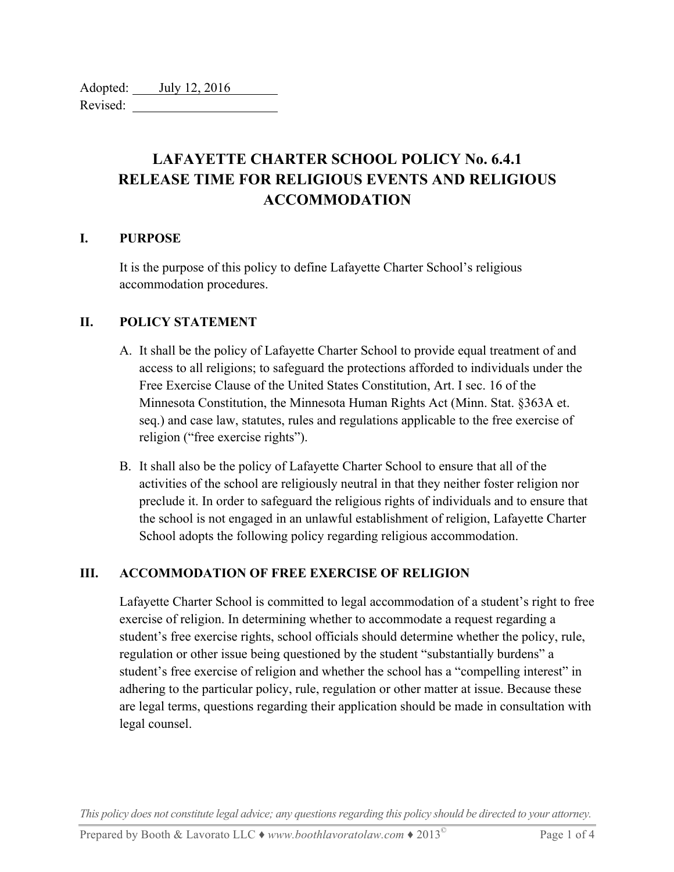Adopted: *July 12, 2016* Revised:

# **LAFAYETTE CHARTER SCHOOL POLICY No. 6.4.1 RELEASE TIME FOR RELIGIOUS EVENTS AND RELIGIOUS ACCOMMODATION**

#### **I. PURPOSE**

It is the purpose of this policy to define Lafayette Charter School's religious accommodation procedures.

#### **II. POLICY STATEMENT**

- A. It shall be the policy of Lafayette Charter School to provide equal treatment of and access to all religions; to safeguard the protections afforded to individuals under the Free Exercise Clause of the United States Constitution, Art. I sec. 16 of the Minnesota Constitution, the Minnesota Human Rights Act (Minn. Stat. §363A et. seq.) and case law, statutes, rules and regulations applicable to the free exercise of religion ("free exercise rights").
- B. It shall also be the policy of Lafayette Charter School to ensure that all of the activities of the school are religiously neutral in that they neither foster religion nor preclude it. In order to safeguard the religious rights of individuals and to ensure that the school is not engaged in an unlawful establishment of religion, Lafayette Charter School adopts the following policy regarding religious accommodation.

## **III. ACCOMMODATION OF FREE EXERCISE OF RELIGION**

Lafayette Charter School is committed to legal accommodation of a student's right to free exercise of religion. In determining whether to accommodate a request regarding a student's free exercise rights, school officials should determine whether the policy, rule, regulation or other issue being questioned by the student "substantially burdens" a student's free exercise of religion and whether the school has a "compelling interest" in adhering to the particular policy, rule, regulation or other matter at issue. Because these are legal terms, questions regarding their application should be made in consultation with legal counsel.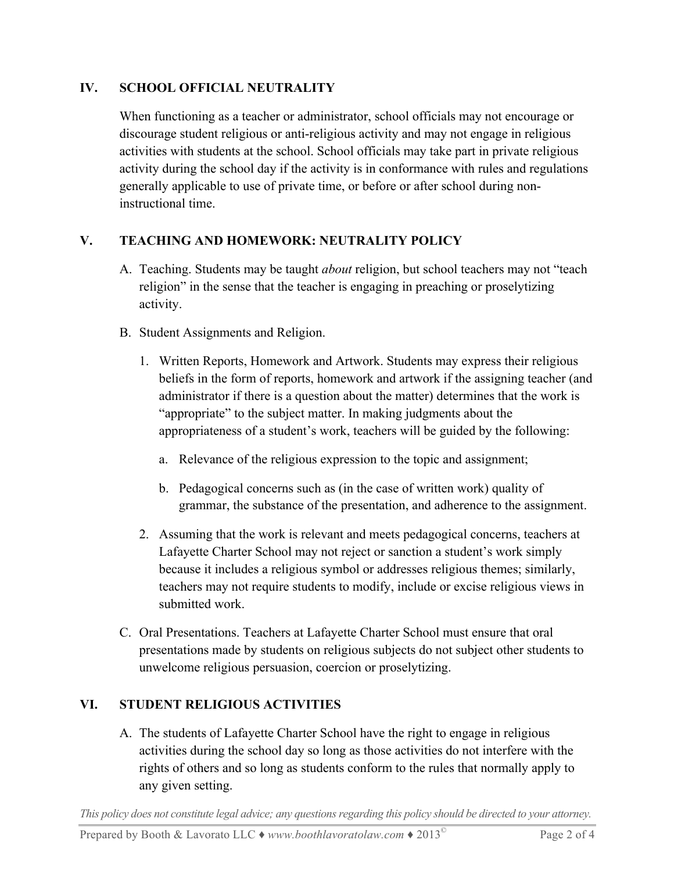# **IV. SCHOOL OFFICIAL NEUTRALITY**

When functioning as a teacher or administrator, school officials may not encourage or discourage student religious or anti-religious activity and may not engage in religious activities with students at the school. School officials may take part in private religious activity during the school day if the activity is in conformance with rules and regulations generally applicable to use of private time, or before or after school during noninstructional time.

# **V. TEACHING AND HOMEWORK: NEUTRALITY POLICY**

- A. Teaching. Students may be taught *about* religion, but school teachers may not "teach religion" in the sense that the teacher is engaging in preaching or proselytizing activity.
- B. Student Assignments and Religion.
	- 1. Written Reports, Homework and Artwork. Students may express their religious beliefs in the form of reports, homework and artwork if the assigning teacher (and administrator if there is a question about the matter) determines that the work is "appropriate" to the subject matter. In making judgments about the appropriateness of a student's work, teachers will be guided by the following:
		- a. Relevance of the religious expression to the topic and assignment;
		- b. Pedagogical concerns such as (in the case of written work) quality of grammar, the substance of the presentation, and adherence to the assignment.
	- 2. Assuming that the work is relevant and meets pedagogical concerns, teachers at Lafayette Charter School may not reject or sanction a student's work simply because it includes a religious symbol or addresses religious themes; similarly, teachers may not require students to modify, include or excise religious views in submitted work.
- C. Oral Presentations. Teachers at Lafayette Charter School must ensure that oral presentations made by students on religious subjects do not subject other students to unwelcome religious persuasion, coercion or proselytizing.

## **VI. STUDENT RELIGIOUS ACTIVITIES**

A. The students of Lafayette Charter School have the right to engage in religious activities during the school day so long as those activities do not interfere with the rights of others and so long as students conform to the rules that normally apply to any given setting.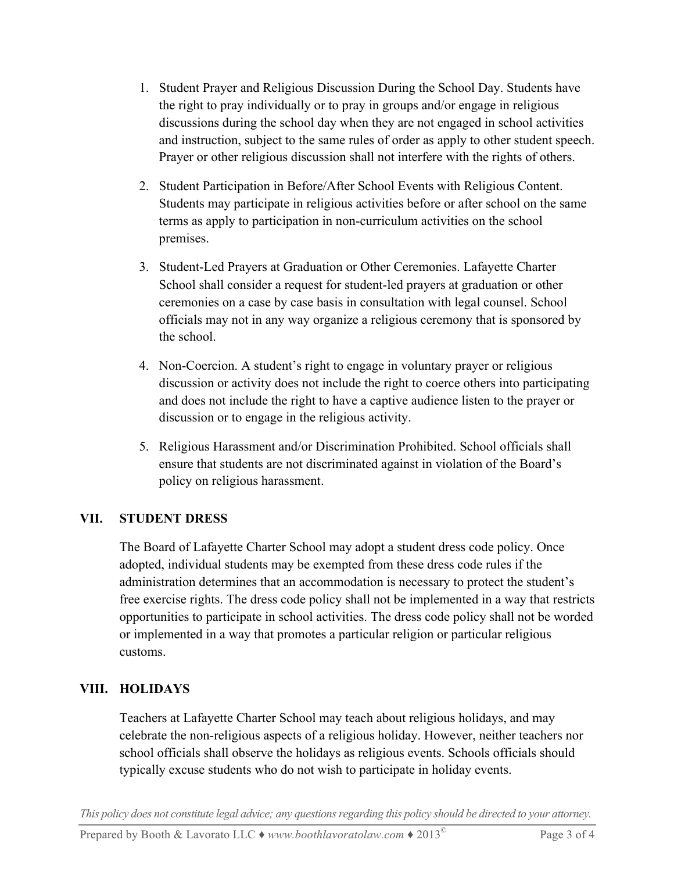- 1. Student Prayer and Religious Discussion During the School Day. Students have the right to pray individually or to pray in groups and/or engage in religious discussions during the school day when they are not engaged in school activities and instruction, subject to the same rules of order as apply to other student speech. Prayer or other religious discussion shall not interfere with the rights of others.
- 2. Student Participation in Before/After School Events with Religious Content. Students may participate in religious activities before or after school on the same terms as apply to participation in non-curriculum activities on the school premises.
- 3. Student-Led Prayers at Graduation or Other Ceremonies. Lafayette Charter School shall consider a request for student-led prayers at graduation or other ceremonies on a case by case basis in consultation with legal counsel. School officials may not in any way organize a religious ceremony that is sponsored by the school.
- 4. Non-Coercion. A student's right to engage in voluntary prayer or religious discussion or activity does not include the right to coerce others into participating and does not include the right to have a captive audience listen to the prayer or discussion or to engage in the religious activity.
- 5. Religious Harassment and/or Discrimination Prohibited. School officials shall ensure that students are not discriminated against in violation of the Board's policy on religious harassment.

## **VII. STUDENT DRESS**

The Board of Lafayette Charter School may adopt a student dress code policy. Once adopted, individual students may be exempted from these dress code rules if the administration determines that an accommodation is necessary to protect the student's free exercise rights. The dress code policy shall not be implemented in a way that restricts opportunities to participate in school activities. The dress code policy shall not be worded or implemented in a way that promotes a particular religion or particular religious customs.

## **VIII. HOLIDAYS**

Teachers at Lafayette Charter School may teach about religious holidays, and may celebrate the non-religious aspects of a religious holiday. However, neither teachers nor school officials shall observe the holidays as religious events. Schools officials should typically excuse students who do not wish to participate in holiday events.